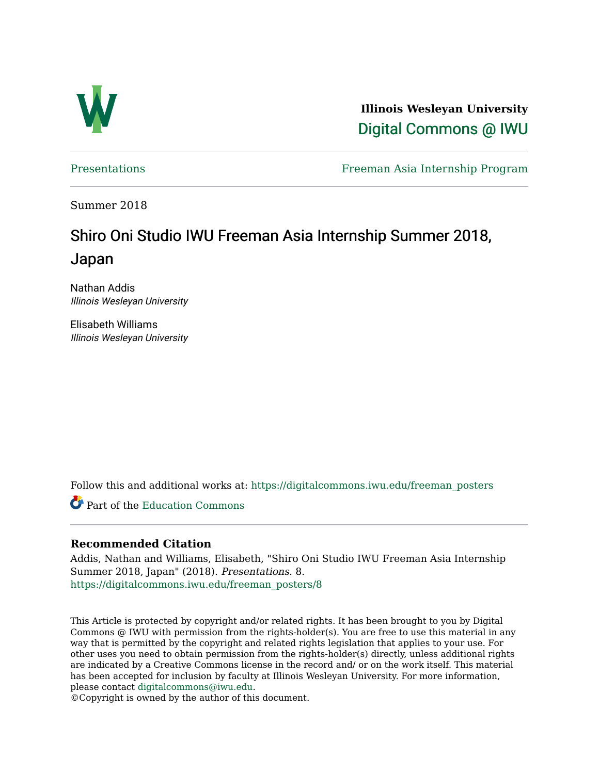

**Illinois Wesleyan University**  [Digital Commons @ IWU](https://digitalcommons.iwu.edu/) 

[Presentations](https://digitalcommons.iwu.edu/freeman_posters) Freeman Asia Internship Program

Summer 2018

### Shiro Oni Studio IWU Freeman Asia Internship Summer 2018, Japan

Nathan Addis Illinois Wesleyan University

Elisabeth Williams Illinois Wesleyan University

Follow this and additional works at: [https://digitalcommons.iwu.edu/freeman\\_posters](https://digitalcommons.iwu.edu/freeman_posters?utm_source=digitalcommons.iwu.edu%2Ffreeman_posters%2F8&utm_medium=PDF&utm_campaign=PDFCoverPages) 

Part of the [Education Commons](http://network.bepress.com/hgg/discipline/784?utm_source=digitalcommons.iwu.edu%2Ffreeman_posters%2F8&utm_medium=PDF&utm_campaign=PDFCoverPages)

#### **Recommended Citation**

Addis, Nathan and Williams, Elisabeth, "Shiro Oni Studio IWU Freeman Asia Internship Summer 2018, Japan" (2018). Presentations. 8. [https://digitalcommons.iwu.edu/freeman\\_posters/8](https://digitalcommons.iwu.edu/freeman_posters/8?utm_source=digitalcommons.iwu.edu%2Ffreeman_posters%2F8&utm_medium=PDF&utm_campaign=PDFCoverPages) 

This Article is protected by copyright and/or related rights. It has been brought to you by Digital Commons @ IWU with permission from the rights-holder(s). You are free to use this material in any way that is permitted by the copyright and related rights legislation that applies to your use. For other uses you need to obtain permission from the rights-holder(s) directly, unless additional rights are indicated by a Creative Commons license in the record and/ or on the work itself. This material has been accepted for inclusion by faculty at Illinois Wesleyan University. For more information, please contact [digitalcommons@iwu.edu.](mailto:digitalcommons@iwu.edu)

©Copyright is owned by the author of this document.